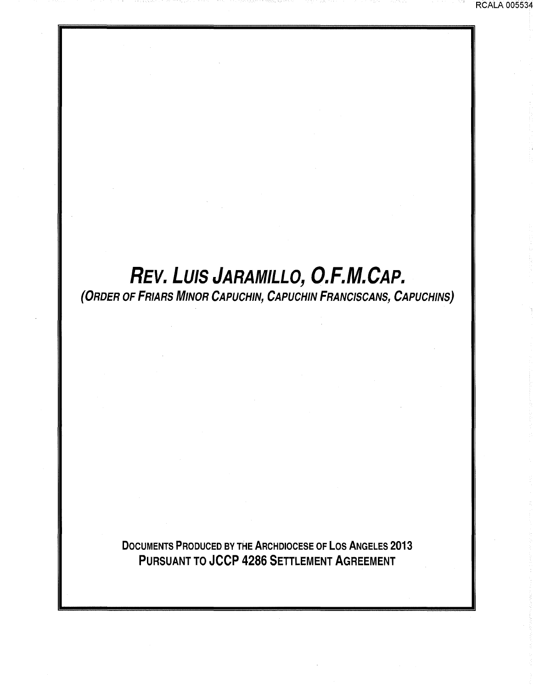# REV. LUIS JARAMILLO, O.F.M.CAP.

(ORDER OF FRIARS MINOR CAPUCHIN, CAPUCHIN FRANCISCANS, CAPUCHINS)

DOCUMENTS PRODUCED BY THE ARCHDIOCESE OF LOS ANGELES 2013 PURSUANT TO JCCP 4286 SETTLEMENT AGREEMENT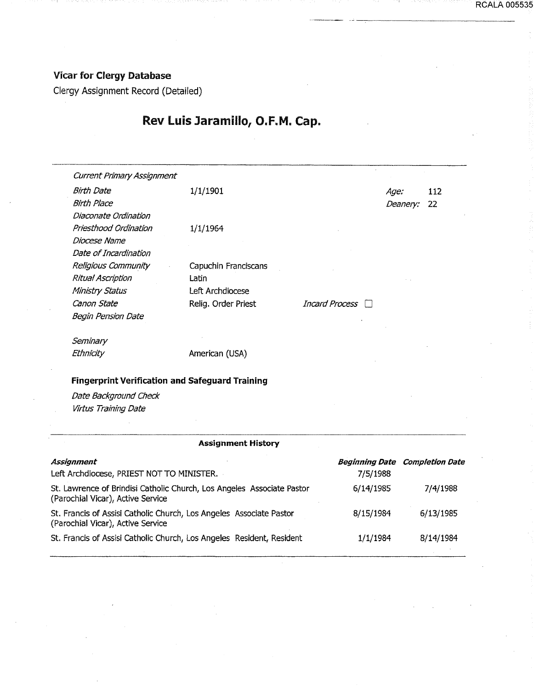### Vicar for Clergy Database

Clergy Assignment Record (Detailed)

# Rev luis Jaramillo, O.F.M. Cap.

| <b>Current Primary Assignment</b>                      |                      |                  |          |     |
|--------------------------------------------------------|----------------------|------------------|----------|-----|
| <b>Birth Date</b>                                      | 1/1/1901             |                  | Age:     | 112 |
| <b>Birth Place</b>                                     |                      |                  | Deanery: | 22  |
| Diaconate Ordination                                   |                      |                  |          |     |
| Priesthood Ordination                                  | 1/1/1964             |                  |          |     |
| Diocese Name                                           |                      |                  |          |     |
| Date of Incardination                                  |                      |                  |          |     |
| Religious Community                                    | Capuchin Franciscans |                  |          |     |
| <b>Ritual Ascription</b>                               | Latin                |                  |          |     |
| Ministry Status                                        | Left Archdiocese     |                  |          |     |
| Canon State                                            | Relig. Order Priest  | Incard Process □ |          |     |
| <b>Begin Pension Date</b>                              |                      |                  |          |     |
| Seminary                                               |                      |                  |          |     |
| Ethnicity                                              | American (USA)       |                  |          |     |
| <b>Fingerprint Verification and Safeguard Training</b> |                      |                  |          |     |
| Date Background Check                                  |                      |                  |          |     |
| Virtus Training Date                                   |                      |                  |          |     |

#### Assignment History

| <b>Assignment</b>                                                                                           |           | <b>Beginning Date Completion Date</b> |
|-------------------------------------------------------------------------------------------------------------|-----------|---------------------------------------|
| Left Archdiocese, PRIEST NOT TO MINISTER.                                                                   | 7/5/1988  |                                       |
| St. Lawrence of Brindisi Catholic Church, Los Angeles Associate Pastor<br>(Parochial Vicar), Active Service | 6/14/1985 | 7/4/1988                              |
| St. Francis of Assisi Catholic Church, Los Angeles Associate Pastor<br>(Parochial Vicar), Active Service    | 8/15/1984 | 6/13/1985                             |
| St. Francis of Assisi Catholic Church, Los Angeles Resident, Resident                                       | 1/1/1984  | 8/14/1984                             |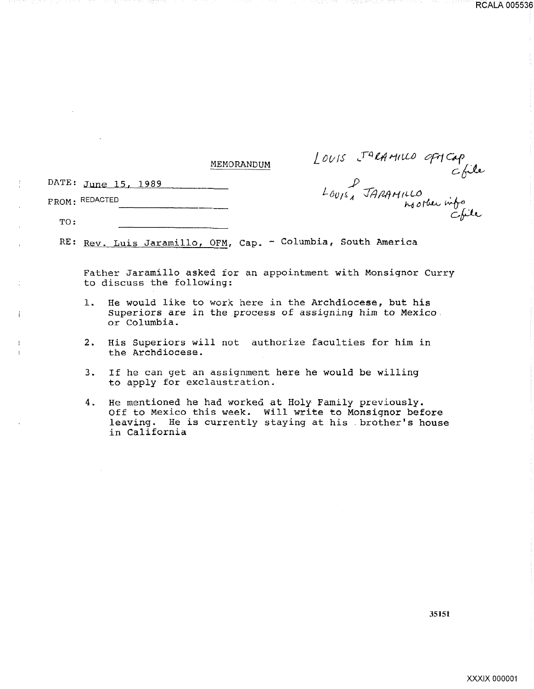#### MEMORANDUM

DATE: June 15, 1989

Í

FROM: REDACTED

OM : REDACTED<br>TO :

RE: Rev. Luis Jaramillo, OFM, Cap. - Columbia, South America

Father Jaramillo asked for an appointment with Monsignor Curry to discuss the following:

- 1. He would like to work here in the Archdiocese, but his Superiors are in the process of assigning him to Mexico. or Columbia.
- 2. His Superiors will not authorize faculties for him in the Archdiocese.
- 3. If he can get an assignment here he would be willing to apply for exclaustration.
- 4. He mentioned he had worked at Holy Family previously. Off to Mexico this week. Will write to Monsignor before leaving. He is currently staying at his . brother's house in California

LOUIS JARAMILLO OFMCap<br>LOUIS JARAMILLO<br>LOUIS JARAMILLO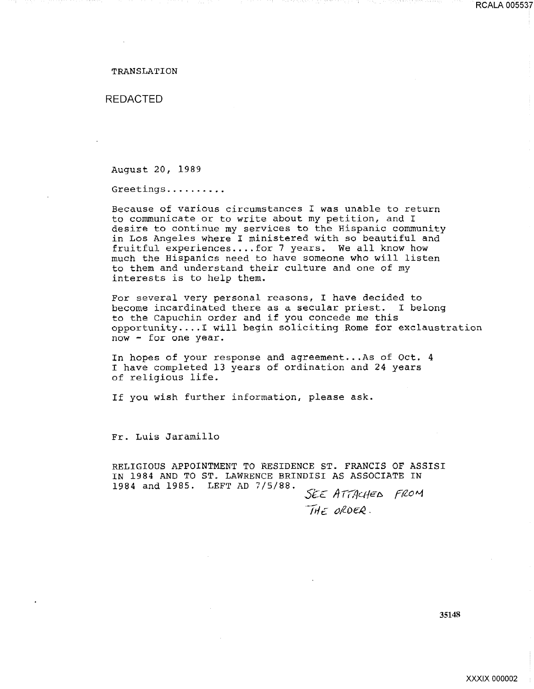#### TRANSLATION

#### REDACTED

August 20, 1989

Greetings ......... .

Because of various circumstances I was unable to return to communicate or to write about my petition, and I desire to continue my services to the Hispanic community in Los Angeles where I ministered with so beautiful and fruitful experiences .... for 7 years. We all know how much the Hispanics need to have someone who will listen to them and understand their culture and one of my interests is to help them.

For several very personal reasons, I have decided to become incardinated there as a secular priest. I belong to the Capuchin order and if you concede me this opportunity .... ! will begin soliciting Rome for exclaustration now - for one year.

In hopes of your response and agreement... As of Oct. 4 I have completed 13 years of ordination and 24 years of religious life.

If you wish further information, please ask.

Fr. Luis Jaramillo

RELIGIOUS APPOINTMENT TO RESIDENCE ST. FRANCIS OF ASSISI IN 1984 AND TO ST. LAWRENCE BRINDISI AS ASSOCIATE IN 1984 and 1985. LEFT AD 7/5/88. SEE ATTACHED FROM

THE ORDER.

35148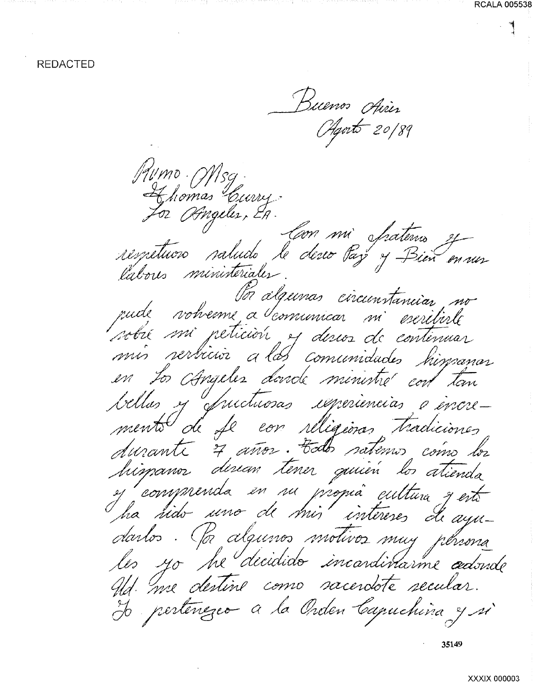Buenos Aires Agosto 20/89 Aumo Msg Ahomas Curry For Obngeles, EA. respetuvos saludo le desco Par y Bien en mos labores ministériales. Por álgunas circunstanciar rude volverne a comunicar mi escritirle sobre mi peticion, es descos de contenuar a las comunidades mis rerbicior To Angeles donde ministre cort tom bellas y fuictuosas igneriencias e encremento de fe con réligions tradiciones durante 7 años. Edo satemo como los himanor dinan tener quien los atienda y comprenda en su propia cultura y est. darlos. (la algunos motivos muy pensona les yo he decidido incardivarme adorde Ad. me destine como sacerdote secular. H pertenezeo a la Orden Capuchina y si

35149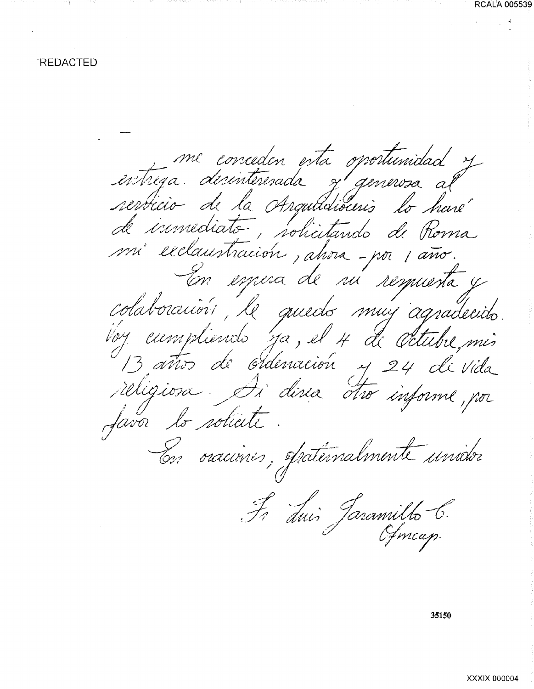me conceden esta oportunidad y de immédiats, solicitando de Roma mi exclaustración, ahora-por 1 año. En espera de su sesquesta y colaboración le quedo muy agradecido Voy eumpliends ya, el 4 de octubre, mis religiosa. Ai direa dro informe, por favor lo solicité En oraciones, spatérnalmente unidor Fr duis Jaramilho C.

35150

**RCALA 005539** 

XXXIX 000004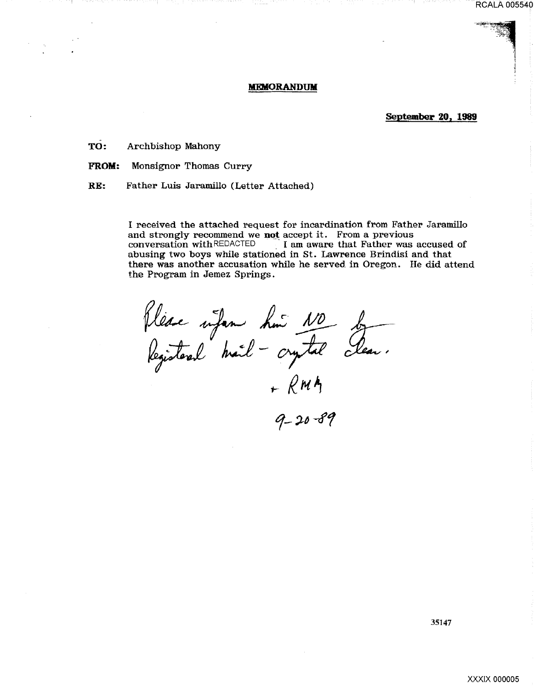#### RCALA 005540

··~

#### **MEMORANDUM**

**September 20, 1989** 

TO: Archbishop Mahony

**FROM:** Monsignor Thomas Curry

RE: Father Luis Jaramillo (Letter Attached)

I received the attached request for incardination from Father Jaramillo and strongly recommend we **not** accept it. From a previous conversation with REDACTED I am aware that Father was I am aware that Father was accused of abusing two boys while stationed in St. Lawrence Brindisi and that there was another accusation while he served. in Oregon. He did attend the Program in Jemez Springs.

Plèse infan hui 10 by<br>Registered mail - crystal clean.<br>+ RMM<br>9-20-89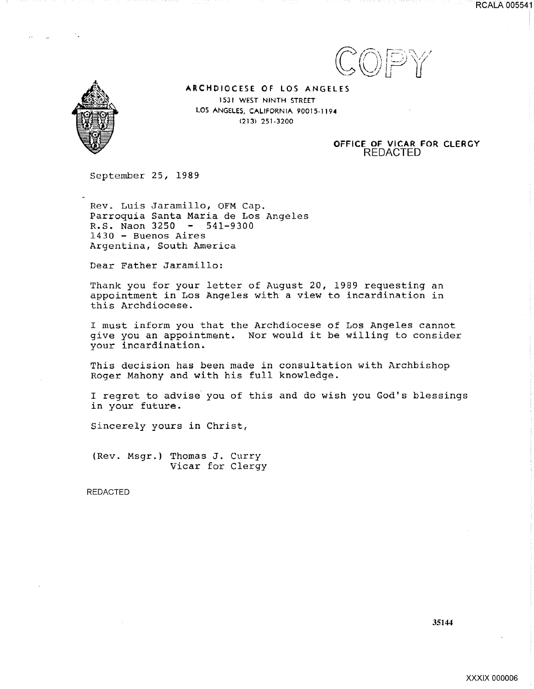





ARCHDIOCESE OF LOS ANGELES 1531 WEST NINTH STREET LOS ANGELES, CALIFORNIA 90015-1194 (213) 251-3200

#### OFFICE OF VICAR FOR CLERGY REDACTED

September 25, 1989

Rev. Luis Jaramillo, OFM Cap. Parroquia Santa Maria de Los Angeles R.S. Naon  $3250 - 541-9300$ 1430 - Buenos Aires Argentina, South America

Dear Father Jaramillo:

Thank you for your letter of August 20, 1989 requesting an appointment in Los Angeles with a view to incardination in this Archdiocese.

I must inform you that the Archdiocese of Los Angeles cannot give you an appointment. Nor would it be willing to consider your incardination.

This decision has been made in consultation with Archbishop Roger Mahony and with his full knowledge.

I regret to advise you of this and do wish you God's blessings in your future.

Sincerely yours in Christ,

(Rev. Msgr.) Thomas J. Curry Vicar for Clergy

REDACTED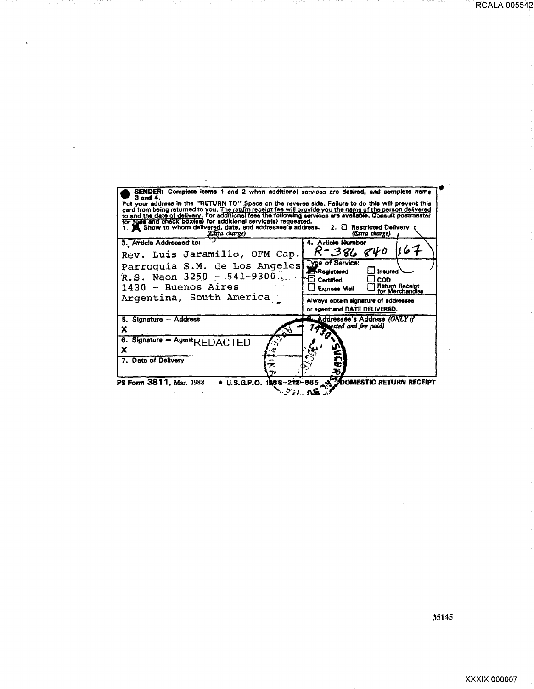SENDER: Complete items 1 and 2 when additional sarvices are desired, and complete items 3 and 4.<br>Put your address in the "RETURN TO" Space on the reverse side. Failure to do this will prevent this card from being returned 4. Article Number 3. Article Addressed to:  $R - 386$ 167  $840$ Rev. Luis Jaramillo, OFM Cap. Type of Service: Parroquia S.M. de Los Angeles □ Insured R.S. Naon  $3250 - 541 - 9300$  $\overline{\Box}$  coo  $\Xi$  Certified Express Mail Return Receipt<br>for Merchandise 1430 - Buenos Aires Argentina, South America Always obtain signature of addressee or agent and DATE DELIVERED. 5. Signature - Address Addressee's Address (ONLY if ested and fee paid) X 6. Signature - Agent REDACTED X 7. Date of Delivery 2 ē.

**DOMESTIC RETURN RECEIPT** PS Form 3811, Mar. 1988 \* U.S.G.P.O. 1988-212-885  $\sim$  0.2) as

35145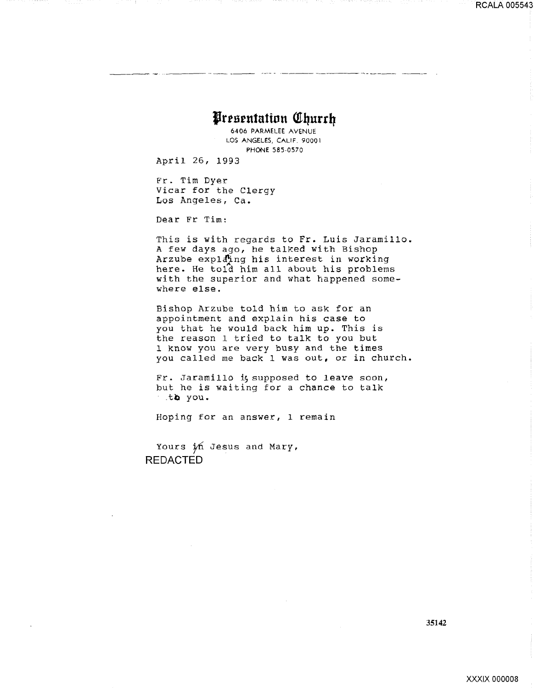## Presentation Church

6406 PARMELEE AVENUE LOS ANGELES, CALIF. 90001 PHONE 585-0570

April 26, 1993

Fr. Tim Dyer Vicar for the Clergy Los Angeles, Ca.

Dear Fr Tim:

This is with regards to Fr. Luis Jaramillo. A few days ago, he talked with Bishop Arzube explating his interest in working here. He told him all about his problems with the superior and what happened somewhere else.

Bishop Arzube told him to ask for an appointment and explain his case to you that he would back him up. This is the reason 1 tried to talk to you but 1 know you are very busy and the times you called me back 1 was out, or in church.

Fr. Jaramillo i, supposed to leave soon, but he is waiting for a chance to talk the you.

Hoping for an answer, 1 remain

Yours in Jesus and Mary, **REDACTED** 

35142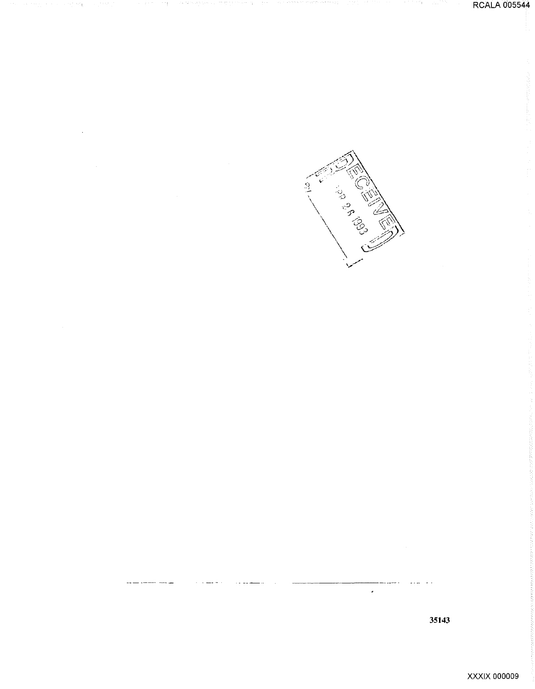어머니는 거의 자연

그 대신은 승규가 생각하는 것 되었던가 다 있었다.



 $\hat{\boldsymbol{\lambda}}$ 

Alliance of the Content of

 $\frac{9}{2}$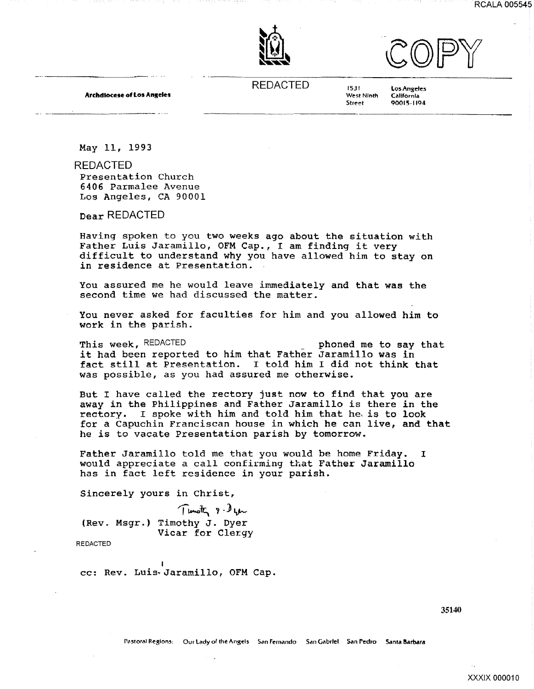



**Archdiocese of Los Angeles** 

**REDACTED** 

1531 West Ninth **Street** 

**Los Angeles** California 90015-1194

May 11, 1993

**REDACTED** 

Presentation Church 6406 Parmalee Avenue Los Angeles, CA 90001

Dear REDACTED

Having spoken to you two weeks ago about the situation with Father Luis Jaramillo, OFM Cap., I am finding it very difficult to understand why you have allowed him to stay on in residence at Presentation.

You assured me he would leave immediately and that was the second time we had discussed the matter.

You never asked for faculties for him and you allowed him to work in the parish.

This week, REDACTED phoned me to say that it had been reported to him that Father Jaramillo was in fact still at Presentation. I told him I did not think that was possible, as you had assured me otherwise.

But I have called the rectory just now to find that you are away in the Philippines and Father Jaramillo is there in the rectory. I spoke with him and told him that he is to look for a Capuchin Franciscan house in which he can live, and that he is to vacate Presentation parish by tomorrow.

Father Jaramillo told me that you would be home Friday.  $\mathbf I$ would appreciate a call confirming that Father Jaramillo has in fact left residence in your parish.

Sincerely yours in Christ,

Timoth 9-left (Rev. Msgr.) Timothy J. Dyer Vicar for Clergy

**REDACTED** 

cc: Rev. Luis-Jaramillo, OFM Cap.

35140

XXXIX 000010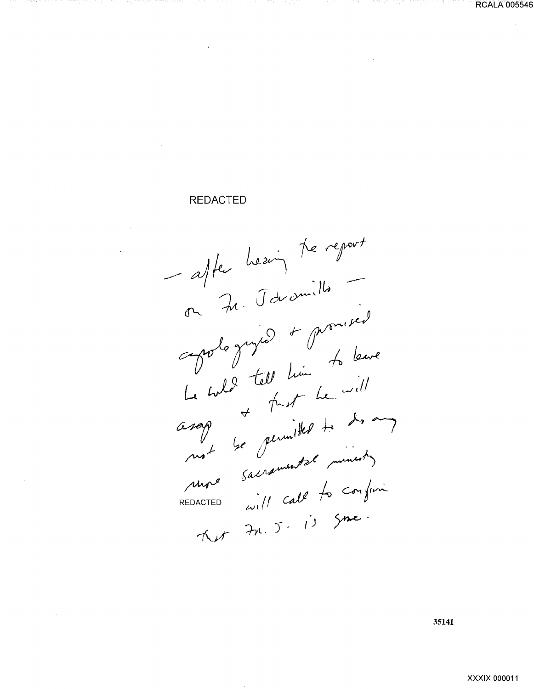#### **REDACTED**

- after heaving the report on Je Javamille aprile Juzie + promised Un wild tell him to leave<br>Le wild tell him to will<br>asage the germitted to do any<br>mot be germitted to do any<br>mot be germental minesty<br>sepacted will cold REDACTED will call to confirm Ket Fr. J. is Since

35141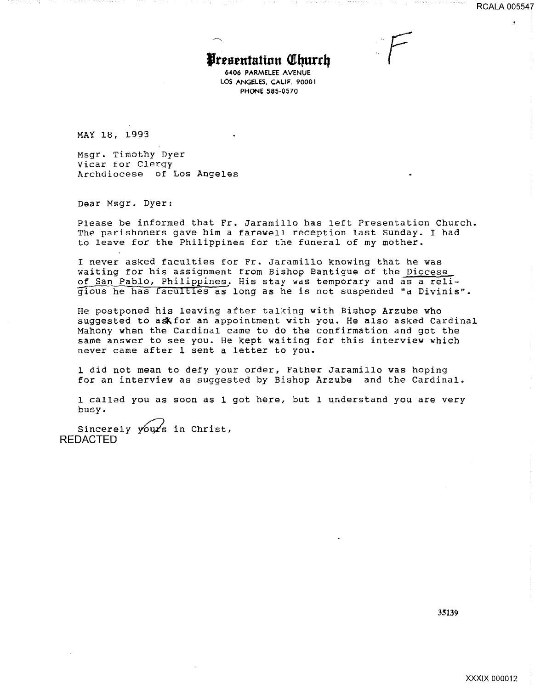$\mathbf{A}$ 

*F* 

# **Presentation Church**

*6406* PARMELEE AVENUE LOS ANGELES, CALIF. 90001 PHONE 585·0570

MAY 18, 1993

Msgr. Timothy Dyer Vicar for Clergy Archdiocese of Los Angeles

Dear Msgr. Dyer:

Please be informed that Fr. Jaramillo has left Presentation Church. The parishoners gave him a farewell reception last Sunday. I bad to leave for the Philippines for the funeral of my mother.

I never asked faculties for Fr. Jaramillo knowing that he was waiting for his assignment from Bishop Bantigue of the Diocese of San Pablo, Philippines. His stay was temporary and as a relig"ious be has facultles as long as he is not suspended "a Divinis".

He postponed his leaving after talking with Bishop Arzube who suggested to ask for an appointment with you. He also asked Cardinal Mahony when the Cardinal came to do the confirmation and got the same answer to see you. He kept waiting for this interview which never came after 1 sent a letter to *you.* 

1 did not mean to defy your order, Father Jaramillo was hoping for an interview as suggested by Bishop Arzube and the Cardinal.

1 called you as soon as 1 got here, but 1 uuderstand you are very busy.

Sincerely yours in Christ, REDACTED

35139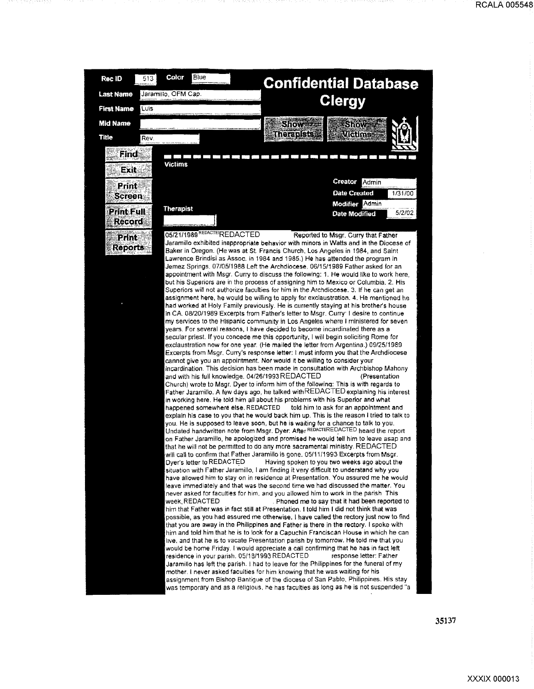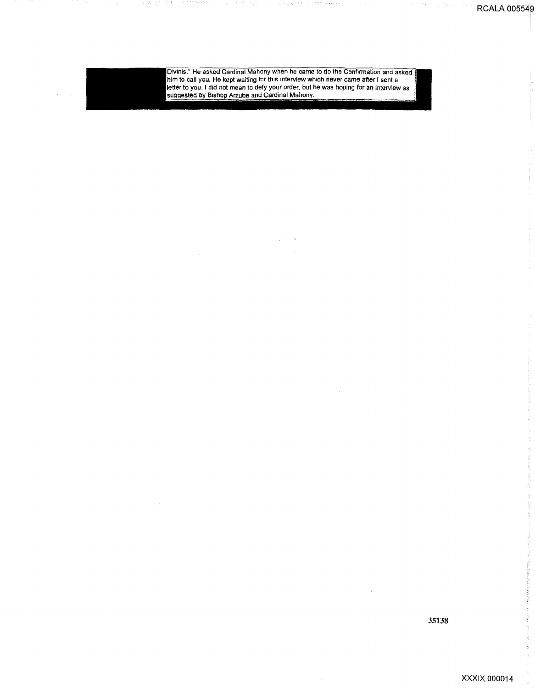

Divinis." He asked Cardinal Mahony when he came to do the Confirmation and asked<br>him to call you. He kept waiting for this interview which never came after I sent a<br>letter to you. I did not mean to defy your order, but he

 $\Delta \sim 200$ 

35138